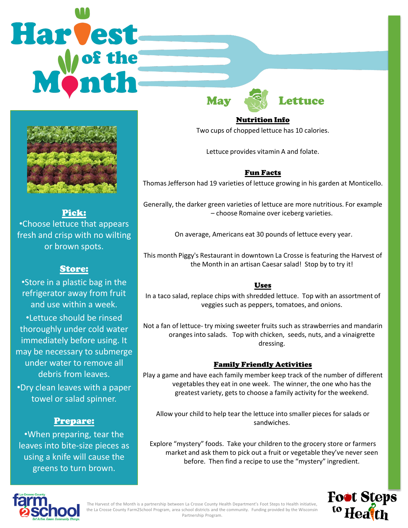# **Harvest** May 19 Lettuce



Pick: •Choose lettuce that appears fresh and crisp with no wilting or brown spots.

# Store:

•Store in a plastic bag in the refrigerator away from fruit and use within a week.

•Lettuce should be rinsed thoroughly under cold water immediately before using. It may be necessary to submerge under water to remove all debris from leaves.

•Dry clean leaves with a paper towel or salad spinner.

# Prepare:

•When preparing, tear the leaves into bite-size pieces as using a knife will cause the greens to turn brown.

Nutrition Info

Two cups of chopped lettuce has 10 calories.

Lettuce provides vitamin A and folate.

## Fun Facts

Thomas Jefferson had 19 varieties of lettuce growing in his garden at Monticello.

Generally, the darker green varieties of lettuce are more nutritious. For example – choose Romaine over iceberg varieties.

On average, Americans eat 30 pounds of lettuce every year.

This month Piggy's Restaurant in downtown La Crosse is featuring the Harvest of the Month in an artisan Caesar salad! Stop by to try it!

### Uses

In a taco salad, replace chips with shredded lettuce. Top with an assortment of veggies such as peppers, tomatoes, and onions.

Not a fan of lettuce- try mixing sweeter fruits such as strawberries and mandarin oranges into salads. Top with chicken, seeds, nuts, and a vinaigrette dressing.

### Family Friendly Activities

Play a game and have each family member keep track of the number of different vegetables they eat in one week. The winner, the one who has the greatest variety, gets to choose a family activity for the weekend.

Allow your child to help tear the lettuce into smaller pieces for salads or sandwiches.

Explore "mystery" foods. Take your children to the grocery store or farmers market and ask them to pick out a fruit or vegetable they've never seen before. Then find a recipe to use the "mystery" ingredient.